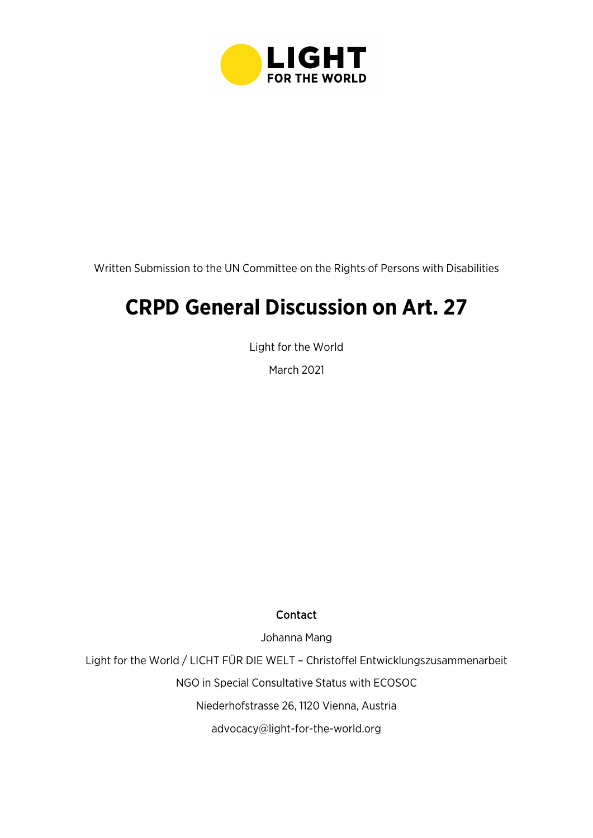

Written Submission to the UN Committee on the Rights of Persons with Disabilities

# **CRPD General Discussion on Art. 27**

Light for the World

March 2021

#### Contact

Johanna Mang

Light for the World / LICHT FÜR DIE WELT – Christoffel Entwicklungszusammenarbeit

NGO in Special Consultative Status with ECOSOC

Niederhofstrasse 26, 1120 Vienna, Austria

[advocacy@light-for-the-world.org](mailto:advocacy@light-for-the-world.org)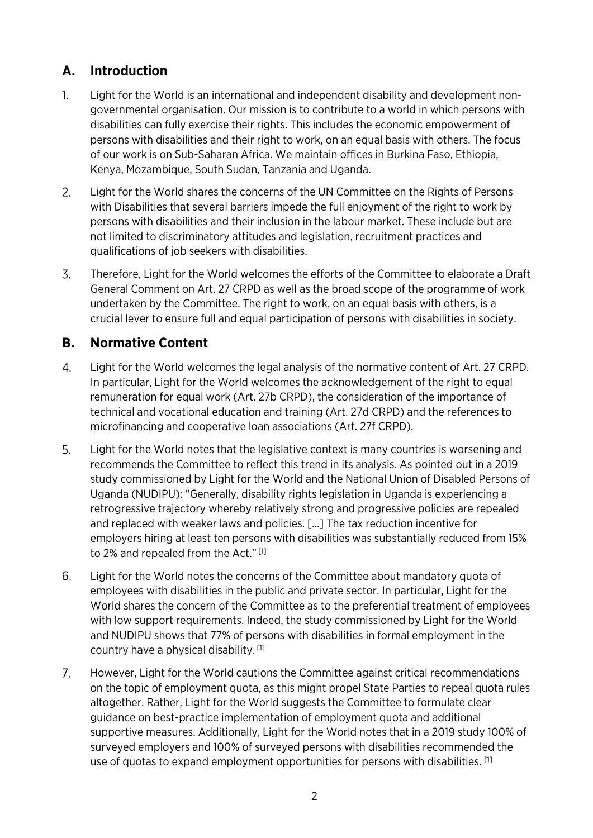## **A. Introduction**

- $1<sub>1</sub>$ Light for the World is an international and independent disability and development nongovernmental organisation. Our mission is to contribute to a world in which persons with disabilities can fully exercise their rights. This includes the economic empowerment of persons with disabilities and their right to work, on an equal basis with others. The focus of our work is on Sub-Saharan Africa. We maintain offices in Burkina Faso, Ethiopia, Kenya, Mozambique, South Sudan, Tanzania and Uganda.
- $2.$ Light for the World shares the concerns of the UN Committee on the Rights of Persons with Disabilities that several barriers impede the full enjoyment of the right to work by persons with disabilities and their inclusion in the labour market. These include but are not limited to discriminatory attitudes and legislation, recruitment practices and qualifications of job seekers with disabilities.
- 3. Therefore, Light for the World welcomes the efforts of the Committee to elaborate a Draft General Comment on Art. 27 CRPD as well as the broad scope of the programme of work undertaken by the Committee. The right to work, on an equal basis with others, is a crucial lever to ensure full and equal participation of persons with disabilities in society.

## **B. Normative Content**

- 4. Light for the World welcomes the legal analysis of the normative content of Art. 27 CRPD. In particular, Light for the World welcomes the acknowledgement of the right to equal remuneration for equal work (Art. 27b CRPD), the consideration of the importance of technical and vocational education and training (Art. 27d CRPD) and the references to microfinancing and cooperative loan associations (Art. 27f CRPD).
- 5. Light for the World notes that the legislative context is many countries is worsening and recommends the Committee to reflect this trend in its analysis. As pointed out in a 2019 study commissioned by Light for the World and the National Union of Disabled Persons of Uganda (NUDIPU): "Generally, disability rights legislation in Uganda is experiencing a retrogressive trajectory whereby relatively strong and progressive policies are repealed and replaced with weaker laws and policies. […] The tax reduction incentive for employers hiring at least ten persons with disabilities was substantially reduced from 15% to 2% and repealed from the Act." [1]
- 6. Light for the World notes the concerns of the Committee about mandatory quota of employees with disabilities in the public and private sector. In particular, Light for the World shares the concern of the Committee as to the preferential treatment of employees with low support requirements. Indeed, the study commissioned by Light for the World and NUDIPU shows that 77% of persons with disabilities in formal employment in the country have a physical disability. [1]
- $7<sup>1</sup>$ However, Light for the World cautions the Committee against critical recommendations on the topic of employment quota, as this might propel State Parties to repeal quota rules altogether. Rather, Light for the World suggests the Committee to formulate clear guidance on best-practice implementation of employment quota and additional supportive measures. Additionally, Light for the World notes that in a 2019 study 100% of surveyed employers and 100% of surveyed persons with disabilities recommended the use of quotas to expand employment opportunities for persons with disabilities. [1]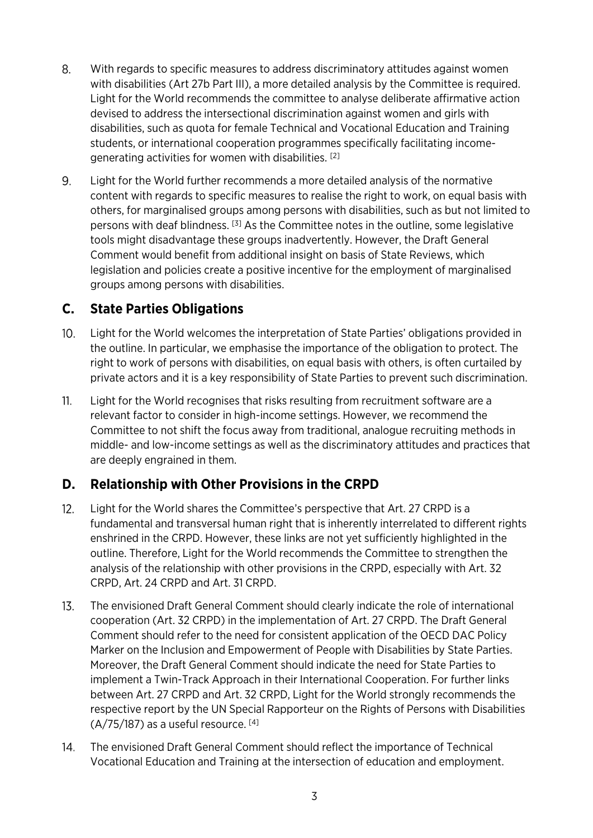- 8. With regards to specific measures to address discriminatory attitudes against women with disabilities (Art 27b Part III), a more detailed analysis by the Committee is required. Light for the World recommends the committee to analyse deliberate affirmative action devised to address the intersectional discrimination against women and girls with disabilities, such as quota for female Technical and Vocational Education and Training students, or international cooperation programmes specifically facilitating incomegenerating activities for women with disabilities. [2]
- 9. Light for the World further recommends a more detailed analysis of the normative content with regards to specific measures to realise the right to work, on equal basis with others, for marginalised groups among persons with disabilities, such as but not limited to persons with deaf blindness. [3] As the Committee notes in the outline, some legislative tools might disadvantage these groups inadvertently. However, the Draft General Comment would benefit from additional insight on basis of State Reviews, which legislation and policies create a positive incentive for the employment of marginalised groups among persons with disabilities.

## **C. State Parties Obligations**

- $10<sub>1</sub>$ Light for the World welcomes the interpretation of State Parties' obligations provided in the outline. In particular, we emphasise the importance of the obligation to protect. The right to work of persons with disabilities, on equal basis with others, is often curtailed by private actors and it is a key responsibility of State Parties to prevent such discrimination.
- $11.$ Light for the World recognises that risks resulting from recruitment software are a relevant factor to consider in high-income settings. However, we recommend the Committee to not shift the focus away from traditional, analogue recruiting methods in middle- and low-income settings as well as the discriminatory attitudes and practices that are deeply engrained in them.

## **D. Relationship with Other Provisions in the CRPD**

- $12.$ Light for the World shares the Committee's perspective that Art. 27 CRPD is a fundamental and transversal human right that is inherently interrelated to different rights enshrined in the CRPD. However, these links are not yet sufficiently highlighted in the outline. Therefore, Light for the World recommends the Committee to strengthen the analysis of the relationship with other provisions in the CRPD, especially with Art. 32 CRPD, Art. 24 CRPD and Art. 31 CRPD.
- $13.$ The envisioned Draft General Comment should clearly indicate the role of international cooperation (Art. 32 CRPD) in the implementation of Art. 27 CRPD. The Draft General Comment should refer to the need for consistent application of the OECD DAC Policy Marker on the Inclusion and Empowerment of People with Disabilities by State Parties. Moreover, the Draft General Comment should indicate the need for State Parties to implement a Twin-Track Approach in their International Cooperation. For further links between Art. 27 CRPD and Art. 32 CRPD, Light for the World strongly recommends the respective report by the UN Special Rapporteur on the Rights of Persons with Disabilities  $(A/75/187)$  as a useful resource. [4]
- $14<sub>1</sub>$ The envisioned Draft General Comment should reflect the importance of Technical Vocational Education and Training at the intersection of education and employment.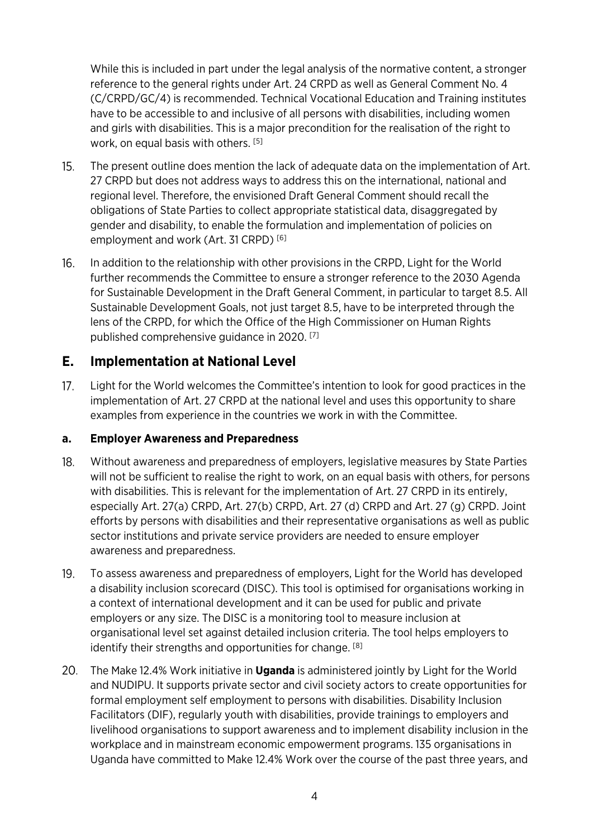While this is included in part under the legal analysis of the normative content, a stronger reference to the general rights under Art. 24 CRPD as well as General Comment No. 4 (C/CRPD/GC/4) is recommended. Technical Vocational Education and Training institutes have to be accessible to and inclusive of all persons with disabilities, including women and girls with disabilities. This is a major precondition for the realisation of the right to work, on equal basis with others. [5]

- $15.$ The present outline does mention the lack of adequate data on the implementation of Art. 27 CRPD but does not address ways to address this on the international, national and regional level. Therefore, the envisioned Draft General Comment should recall the obligations of State Parties to collect appropriate statistical data, disaggregated by gender and disability, to enable the formulation and implementation of policies on employment and work (Art. 31 CRPD)<sup>[6]</sup>
- $16.$ In addition to the relationship with other provisions in the CRPD, Light for the World further recommends the Committee to ensure a stronger reference to the 2030 Agenda for Sustainable Development in the Draft General Comment, in particular to target 8.5. All Sustainable Development Goals, not just target 8.5, have to be interpreted through the lens of the CRPD, for which the Office of the High Commissioner on Human Rights published comprehensive guidance in 2020. [7]

## **E. Implementation at National Level**

 $17.$ Light for the World welcomes the Committee's intention to look for good practices in the implementation of Art. 27 CRPD at the national level and uses this opportunity to share examples from experience in the countries we work in with the Committee.

#### **a. Employer Awareness and Preparedness**

- $18.$ Without awareness and preparedness of employers, legislative measures by State Parties will not be sufficient to realise the right to work, on an equal basis with others, for persons with disabilities. This is relevant for the implementation of Art. 27 CRPD in its entirely, especially Art. 27(a) CRPD, Art. 27(b) CRPD, Art. 27 (d) CRPD and Art. 27 (g) CRPD. Joint efforts by persons with disabilities and their representative organisations as well as public sector institutions and private service providers are needed to ensure employer awareness and preparedness.
- 19. To assess awareness and preparedness of employers, Light for the World has developed a disability inclusion scorecard (DISC). This tool is optimised for organisations working in a context of international development and it can be used for public and private employers or any size. The DISC is a monitoring tool to measure inclusion at organisational level set against detailed inclusion criteria. The tool helps employers to identify their strengths and opportunities for change. [8]
- The Make 12.4% Work initiative in **Uganda** is administered jointly by Light for the World and NUDIPU. It supports private sector and civil society actors to create opportunities for formal employment self employment to persons with disabilities. Disability Inclusion Facilitators (DIF), regularly youth with disabilities, provide trainings to employers and livelihood organisations to support awareness and to implement disability inclusion in the workplace and in mainstream economic empowerment programs. 135 organisations in Uganda have committed to Make 12.4% Work over the course of the past three years, and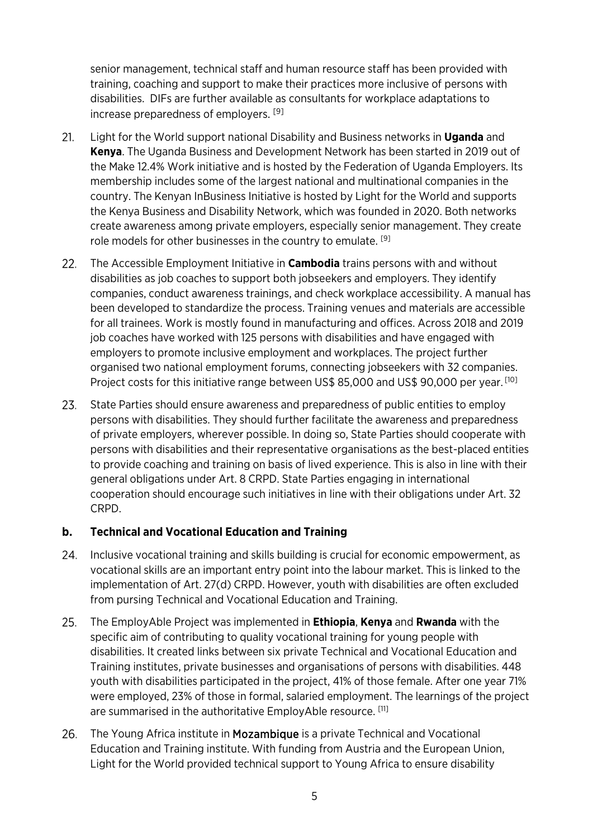senior management, technical staff and human resource staff has been provided with training, coaching and support to make their practices more inclusive of persons with disabilities. DIFs are further available as consultants for workplace adaptations to increase preparedness of employers.<sup>[9]</sup>

- $21.$ Light for the World support national Disability and Business networks in **Uganda** and **Kenya**. The Uganda Business and Development Network has been started in 2019 out of the Make 12.4% Work initiative and is hosted by the Federation of Uganda Employers. Its membership includes some of the largest national and multinational companies in the country. The Kenyan InBusiness Initiative is hosted by Light for the World and supports the Kenya Business and Disability Network, which was founded in 2020. Both networks create awareness among private employers, especially senior management. They create role models for other businesses in the country to emulate. [9]
- $22.$ The Accessible Employment Initiative in **Cambodia** trains persons with and without disabilities as job coaches to support both jobseekers and employers. They identify companies, conduct awareness trainings, and check workplace accessibility. A manual has been developed to standardize the process. Training venues and materials are accessible for all trainees. Work is mostly found in manufacturing and offices. Across 2018 and 2019 job coaches have worked with 125 persons with disabilities and have engaged with employers to promote inclusive employment and workplaces. The project further organised two national employment forums, connecting jobseekers with 32 companies. Project costs for this initiative range between US\$ 85,000 and US\$ 90,000 per year. [10]
- $23.$ State Parties should ensure awareness and preparedness of public entities to employ persons with disabilities. They should further facilitate the awareness and preparedness of private employers, wherever possible. In doing so, State Parties should cooperate with persons with disabilities and their representative organisations as the best-placed entities to provide coaching and training on basis of lived experience. This is also in line with their general obligations under Art. 8 CRPD. State Parties engaging in international cooperation should encourage such initiatives in line with their obligations under Art. 32 CRPD.

#### **b. Technical and Vocational Education and Training**

- 24. Inclusive vocational training and skills building is crucial for economic empowerment, as vocational skills are an important entry point into the labour market. This is linked to the implementation of Art. 27(d) CRPD. However, youth with disabilities are often excluded from pursing Technical and Vocational Education and Training.
- 25. The EmployAble Project was implemented in **Ethiopia**, **Kenya** and **Rwanda** with the specific aim of contributing to quality vocational training for young people with disabilities. It created links between six private Technical and Vocational Education and Training institutes, private businesses and organisations of persons with disabilities. 448 youth with disabilities participated in the project, 41% of those female. After one year 71% were employed, 23% of those in formal, salaried employment. The learnings of the project are summarised in the authoritative EmployAble resource. [11]
- 26. The Young Africa institute in Mozambique is a private Technical and Vocational Education and Training institute. With funding from Austria and the European Union, Light for the World provided technical support to Young Africa to ensure disability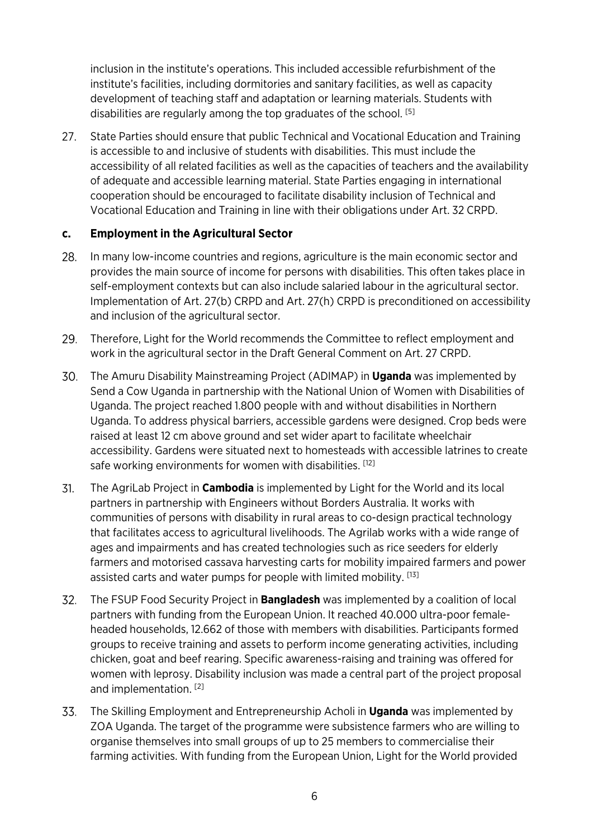inclusion in the institute's operations. This included accessible refurbishment of the institute's facilities, including dormitories and sanitary facilities, as well as capacity development of teaching staff and adaptation or learning materials. Students with disabilities are regularly among the top graduates of the school. [5]

 $27.$ State Parties should ensure that public Technical and Vocational Education and Training is accessible to and inclusive of students with disabilities. This must include the accessibility of all related facilities as well as the capacities of teachers and the availability of adequate and accessible learning material. State Parties engaging in international cooperation should be encouraged to facilitate disability inclusion of Technical and Vocational Education and Training in line with their obligations under Art. 32 CRPD.

#### **c. Employment in the Agricultural Sector**

- 28. In many low-income countries and regions, agriculture is the main economic sector and provides the main source of income for persons with disabilities. This often takes place in self-employment contexts but can also include salaried labour in the agricultural sector. Implementation of Art. 27(b) CRPD and Art. 27(h) CRPD is preconditioned on accessibility and inclusion of the agricultural sector.
- 29. Therefore, Light for the World recommends the Committee to reflect employment and work in the agricultural sector in the Draft General Comment on Art. 27 CRPD.
- The Amuru Disability Mainstreaming Project (ADIMAP) in **Uganda** was implemented by Send a Cow Uganda in partnership with the National Union of Women with Disabilities of Uganda. The project reached 1.800 people with and without disabilities in Northern Uganda. To address physical barriers, accessible gardens were designed. Crop beds were raised at least 12 cm above ground and set wider apart to facilitate wheelchair accessibility. Gardens were situated next to homesteads with accessible latrines to create safe working environments for women with disabilities. [12]
- 31. The AgriLab Project in **Cambodia** is implemented by Light for the World and its local partners in partnership with Engineers without Borders Australia. It works with communities of persons with disability in rural areas to co-design practical technology that facilitates access to agricultural livelihoods. The Agrilab works with a wide range of ages and impairments and has created technologies such as rice seeders for elderly farmers and motorised cassava harvesting carts for mobility impaired farmers and power assisted carts and water pumps for people with limited mobility. [13]
- $32.$ The FSUP Food Security Project in **Bangladesh** was implemented by a coalition of local partners with funding from the European Union. It reached 40.000 ultra-poor femaleheaded households, 12.662 of those with members with disabilities. Participants formed groups to receive training and assets to perform income generating activities, including chicken, goat and beef rearing. Specific awareness-raising and training was offered for women with leprosy. Disability inclusion was made a central part of the project proposal and implementation. [2]
- 33. The Skilling Employment and Entrepreneurship Acholi in **Uganda** was implemented by ZOA Uganda. The target of the programme were subsistence farmers who are willing to organise themselves into small groups of up to 25 members to commercialise their farming activities. With funding from the European Union, Light for the World provided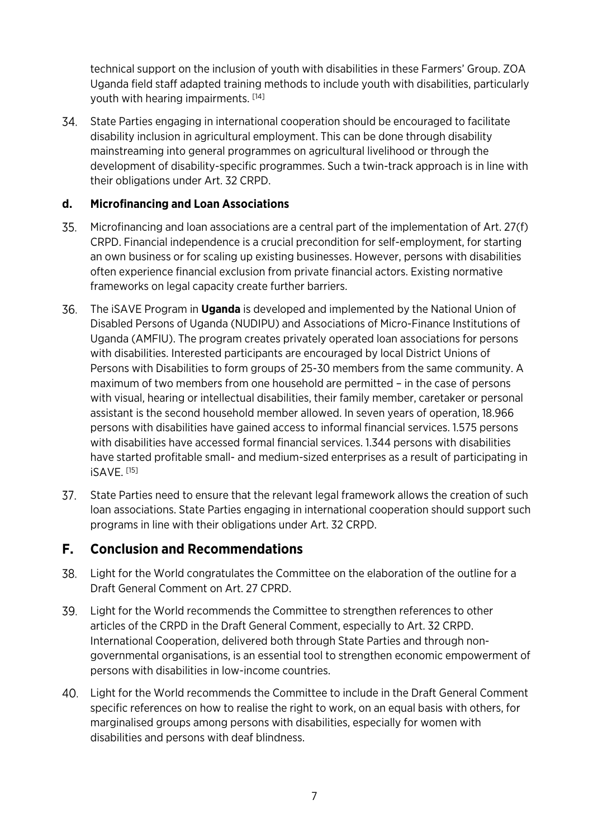technical support on the inclusion of youth with disabilities in these Farmers' Group. ZOA Uganda field staff adapted training methods to include youth with disabilities, particularly youth with hearing impairments. [14]

State Parties engaging in international cooperation should be encouraged to facilitate disability inclusion in agricultural employment. This can be done through disability mainstreaming into general programmes on agricultural livelihood or through the development of disability-specific programmes. Such a twin-track approach is in line with their obligations under Art. 32 CRPD.

#### **d. Microfinancing and Loan Associations**

- 35. Microfinancing and loan associations are a central part of the implementation of Art. 27(f) CRPD. Financial independence is a crucial precondition for self-employment, for starting an own business or for scaling up existing businesses. However, persons with disabilities often experience financial exclusion from private financial actors. Existing normative frameworks on legal capacity create further barriers.
- 36. The iSAVE Program in **Uganda** is developed and implemented by the National Union of Disabled Persons of Uganda (NUDIPU) and Associations of Micro-Finance Institutions of Uganda (AMFIU). The program creates privately operated loan associations for persons with disabilities. Interested participants are encouraged by local District Unions of Persons with Disabilities to form groups of 25-30 members from the same community. A maximum of two members from one household are permitted – in the case of persons with visual, hearing or intellectual disabilities, their family member, caretaker or personal assistant is the second household member allowed. In seven years of operation, 18.966 persons with disabilities have gained access to informal financial services. 1.575 persons with disabilities have accessed formal financial services. 1.344 persons with disabilities have started profitable small- and medium-sized enterprises as a result of participating in iSAVE. [15]
- State Parties need to ensure that the relevant legal framework allows the creation of such loan associations. State Parties engaging in international cooperation should support such programs in line with their obligations under Art. 32 CRPD.

## **F. Conclusion and Recommendations**

- Light for the World congratulates the Committee on the elaboration of the outline for a 38. Draft General Comment on Art. 27 CPRD.
- 39. Light for the World recommends the Committee to strengthen references to other articles of the CRPD in the Draft General Comment, especially to Art. 32 CRPD. International Cooperation, delivered both through State Parties and through nongovernmental organisations, is an essential tool to strengthen economic empowerment of persons with disabilities in low-income countries.
- Light for the World recommends the Committee to include in the Draft General Comment specific references on how to realise the right to work, on an equal basis with others, for marginalised groups among persons with disabilities, especially for women with disabilities and persons with deaf blindness.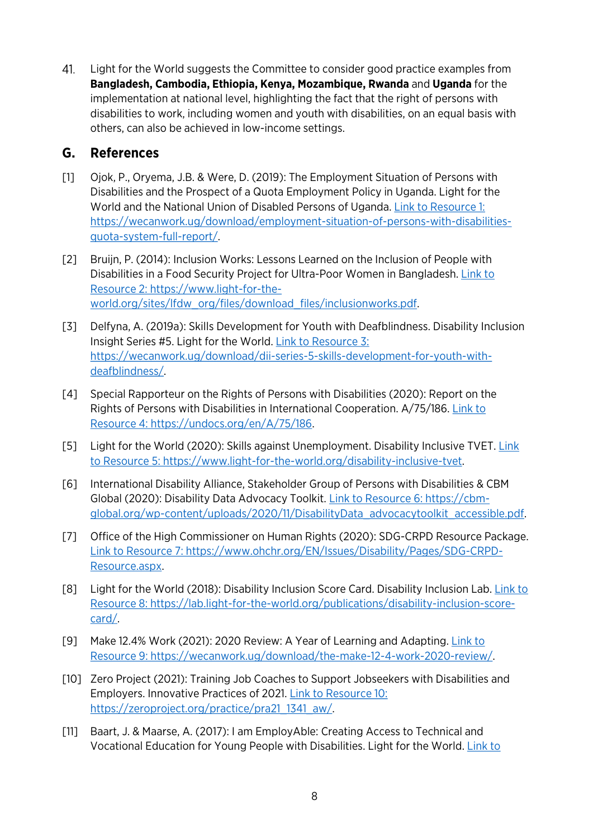41. Light for the World suggests the Committee to consider good practice examples from **Bangladesh, Cambodia, Ethiopia, Kenya, Mozambique, Rwanda** and **Uganda** for the implementation at national level, highlighting the fact that the right of persons with disabilities to work, including women and youth with disabilities, on an equal basis with others, can also be achieved in low-income settings.

### **G. References**

- [1] Ojok, P., Oryema, J.B. & Were, D. (2019): The Employment Situation of Persons with Disabilities and the Prospect of a Quota Employment Policy in Uganda. Light for the World and the National Union of Disabled Persons of Uganda. Link to Resource 1: [https://wecanwork.ug/download/employment-situation-of-persons-with-disabilities](https://wecanwork.ug/download/employment-situation-of-persons-with-disabilities-quota-system-full-report/)[quota-system-full-report/.](https://wecanwork.ug/download/employment-situation-of-persons-with-disabilities-quota-system-full-report/)
- [2] Bruijn, P. (2014): Inclusion Works: Lessons Learned on the Inclusion of People with Disabilities in a Food Security Project for Ultra-Poor Women in Bangladesh. Link to [Resource 2: https://www.light-for-the](https://www.light-for-the-world.org/sites/lfdw_org/files/download_files/inclusionworks.pdf)[world.org/sites/lfdw\\_org/files/download\\_files/inclusionworks.pdf.](https://www.light-for-the-world.org/sites/lfdw_org/files/download_files/inclusionworks.pdf)
- [3] Delfyna, A. (2019a): Skills Development for Youth with Deafblindness. Disability Inclusion Insight Series #5. Light for the World. [Link to Resource 3:](https://wecanwork.ug/download/dii-series-5-skills-development-for-youth-with-deafblindness/)  [https://wecanwork.ug/download/dii-series-5-skills-development-for-youth-with](https://wecanwork.ug/download/dii-series-5-skills-development-for-youth-with-deafblindness/)[deafblindness/.](https://wecanwork.ug/download/dii-series-5-skills-development-for-youth-with-deafblindness/)
- [4] Special Rapporteur on the Rights of Persons with Disabilities (2020): Report on the Rights of Persons with Disabilities in International Cooperation. A/75/186. [Link to](https://undocs.org/en/A/75/186)  [Resource 4: https://undocs.org/en/A/75/186.](https://undocs.org/en/A/75/186)
- [5] Light for the World (2020): Skills against Unemployment. Disability Inclusive TVET. [Link](https://www.light-for-the-world.org/disability-inclusive-tvet)  [to Resource 5: https://www.light-for-the-world.org/disability-inclusive-tvet.](https://www.light-for-the-world.org/disability-inclusive-tvet)
- [6] International Disability Alliance, Stakeholder Group of Persons with Disabilities & CBM Global (2020): Disability Data Advocacy Toolkit. [Link to Resource 6: https://cbm](https://cbm-global.org/wp-content/uploads/2020/11/DisabilityData_advocacytoolkit_accessible.pdf)[global.org/wp-content/uploads/2020/11/DisabilityData\\_advocacytoolkit\\_accessible.pdf.](https://cbm-global.org/wp-content/uploads/2020/11/DisabilityData_advocacytoolkit_accessible.pdf)
- [7] Office of the High Commissioner on Human Rights (2020): SDG-CRPD Resource Package. [Link to Resource 7: https://www.ohchr.org/EN/Issues/Disability/Pages/SDG-CRPD-](https://www.ohchr.org/EN/Issues/Disability/Pages/SDG-CRPD-Resource.aspx)[Resource.aspx.](https://www.ohchr.org/EN/Issues/Disability/Pages/SDG-CRPD-Resource.aspx)
- [8] Light for the World (2018): Disability Inclusion Score Card. Disability Inclusion Lab[. Link to](https://lab.light-for-the-world.org/publications/disability-inclusion-score-card/)  [Resource 8: https://lab.light-for-the-world.org/publications/disability-inclusion-score](https://lab.light-for-the-world.org/publications/disability-inclusion-score-card/)[card/.](https://lab.light-for-the-world.org/publications/disability-inclusion-score-card/)
- [9] Make 12.4% Work (2021): 2020 Review: A Year of Learning and Adapting. [Link to](https://wecanwork.ug/download/the-make-12-4-work-2020-review/)  [Resource 9: https://wecanwork.ug/download/the-make-12-4-work-2020-review/.](https://wecanwork.ug/download/the-make-12-4-work-2020-review/)
- [10] Zero Project (2021): Training Job Coaches to Support Jobseekers with Disabilities and Employers. Innovative Practices of 2021. [Link to Resource 10:](https://zeroproject.org/practice/pra21_1341_aw/)  [https://zeroproject.org/practice/pra21\\_1341\\_aw/.](https://zeroproject.org/practice/pra21_1341_aw/)
- [11] Baart, J. & Maarse, A. (2017): I am EmployAble: Creating Access to Technical and Vocational Education for Young People with Disabilities. Light for the World. [Link to](https://www.light-for-the-world.org/sites/lfdw_org/files/download_files/lftw_employable_web_0.pdf)